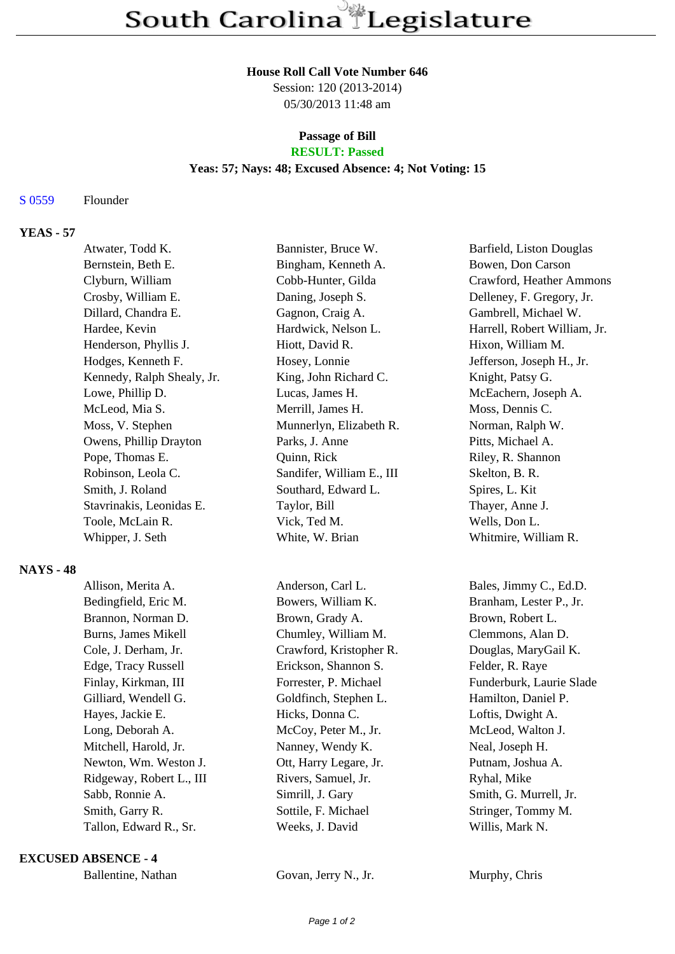#### **House Roll Call Vote Number 646**

Session: 120 (2013-2014) 05/30/2013 11:48 am

# **Passage of Bill**

## **RESULT: Passed**

## **Yeas: 57; Nays: 48; Excused Absence: 4; Not Voting: 15**

#### S 0559 Flounder

## **YEAS - 57**

|                  | Atwater, Todd K.           | Bannister, Bruce W.       | Barfield, Liston Douglas     |
|------------------|----------------------------|---------------------------|------------------------------|
|                  | Bernstein, Beth E.         | Bingham, Kenneth A.       | Bowen, Don Carson            |
|                  | Clyburn, William           | Cobb-Hunter, Gilda        | Crawford, Heather Ammons     |
|                  | Crosby, William E.         | Daning, Joseph S.         | Delleney, F. Gregory, Jr.    |
|                  | Dillard, Chandra E.        | Gagnon, Craig A.          | Gambrell, Michael W.         |
|                  | Hardee, Kevin              | Hardwick, Nelson L.       | Harrell, Robert William, Jr. |
|                  | Henderson, Phyllis J.      | Hiott, David R.           | Hixon, William M.            |
|                  | Hodges, Kenneth F.         | Hosey, Lonnie             | Jefferson, Joseph H., Jr.    |
|                  | Kennedy, Ralph Shealy, Jr. | King, John Richard C.     | Knight, Patsy G.             |
|                  | Lowe, Phillip D.           | Lucas, James H.           | McEachern, Joseph A.         |
|                  | McLeod, Mia S.             | Merrill, James H.         | Moss, Dennis C.              |
|                  | Moss, V. Stephen           | Munnerlyn, Elizabeth R.   | Norman, Ralph W.             |
|                  | Owens, Phillip Drayton     | Parks, J. Anne            | Pitts, Michael A.            |
|                  | Pope, Thomas E.            | Quinn, Rick               | Riley, R. Shannon            |
|                  | Robinson, Leola C.         | Sandifer, William E., III | Skelton, B. R.               |
|                  | Smith, J. Roland           | Southard, Edward L.       | Spires, L. Kit               |
|                  | Stavrinakis, Leonidas E.   | Taylor, Bill              | Thayer, Anne J.              |
|                  | Toole, McLain R.           | Vick, Ted M.              | Wells, Don L.                |
|                  | Whipper, J. Seth           | White, W. Brian           | Whitmire, William R.         |
| <b>NAYS - 48</b> |                            |                           |                              |
|                  | Allison, Merita A.         | Anderson, Carl L.         | Bales, Jimmy C., Ed.D.       |
|                  | Bedingfield, Eric M.       | Bowers, William K.        | Branham, Lester P., Jr.      |
|                  | Brannon, Norman D.         | Brown, Grady A.           | Brown, Robert L.             |
|                  | <b>Burns, James Mikell</b> | Chumley, William M.       | Clemmons, Alan D.            |
|                  | Cole, J. Derham, Jr.       | Crawford, Kristopher R.   | Douglas, MaryGail K.         |
|                  | Edge, Tracy Russell        | Erickson, Shannon S.      | Felder, R. Raye              |
|                  | Finlay, Kirkman, III       | Forrester, P. Michael     | Funderburk, Laurie Slade     |
|                  | Gilliard, Wendell G.       | Goldfinch, Stephen L.     | Hamilton, Daniel P.          |
|                  | Hayes, Jackie E.           | Hicks, Donna C.           | Loftis, Dwight A.            |
|                  | Long, Deborah A.           | McCoy, Peter M., Jr.      | McLeod, Walton J.            |
|                  | Mitchell, Harold, Jr.      | Nanney, Wendy K.          | Neal, Joseph H.              |
|                  | Newton, Wm. Weston J.      | Ott, Harry Legare, Jr.    | Putnam, Joshua A.            |
|                  | Ridgeway, Robert L., III   | Rivers, Samuel, Jr.       | Ryhal, Mike                  |
|                  | Sabb, Ronnie A.            | Simrill, J. Gary          | Smith, G. Murrell, Jr.       |
|                  | Smith, Garry R.            | Sottile, F. Michael       | Stringer, Tommy M.           |

#### **EXCUSED ABSENCE - 4**

| Ballentine, Nathan |  |
|--------------------|--|
|--------------------|--|

Govan, Jerry N., Jr. Murphy, Chris

Tallon, Edward R., Sr. Weeks, J. David Willis, Mark N.